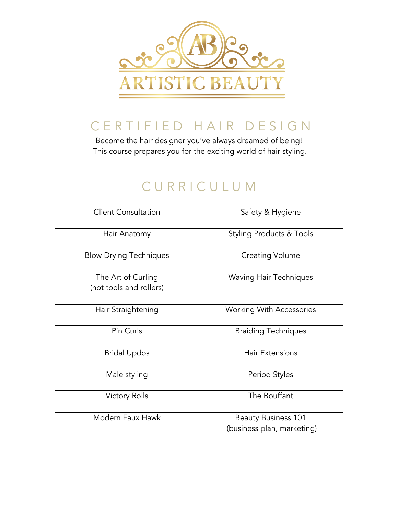

## CERTIFIED HAIR DESIGN

Become the hair designer you've always dreamed of being! This course prepares you for the exciting world of hair styling.

## CURRICULUM

| <b>Client Consultation</b>                    | Safety & Hygiene                                         |
|-----------------------------------------------|----------------------------------------------------------|
| Hair Anatomy                                  | <b>Styling Products &amp; Tools</b>                      |
| <b>Blow Drying Techniques</b>                 | <b>Creating Volume</b>                                   |
| The Art of Curling<br>(hot tools and rollers) | <b>Waving Hair Techniques</b>                            |
| Hair Straightening                            | <b>Working With Accessories</b>                          |
| Pin Curls                                     | <b>Braiding Techniques</b>                               |
| <b>Bridal Updos</b>                           | <b>Hair Extensions</b>                                   |
| Male styling                                  | Period Styles                                            |
| <b>Victory Rolls</b>                          | The Bouffant                                             |
| Modern Faux Hawk                              | <b>Beauty Business 101</b><br>(business plan, marketing) |